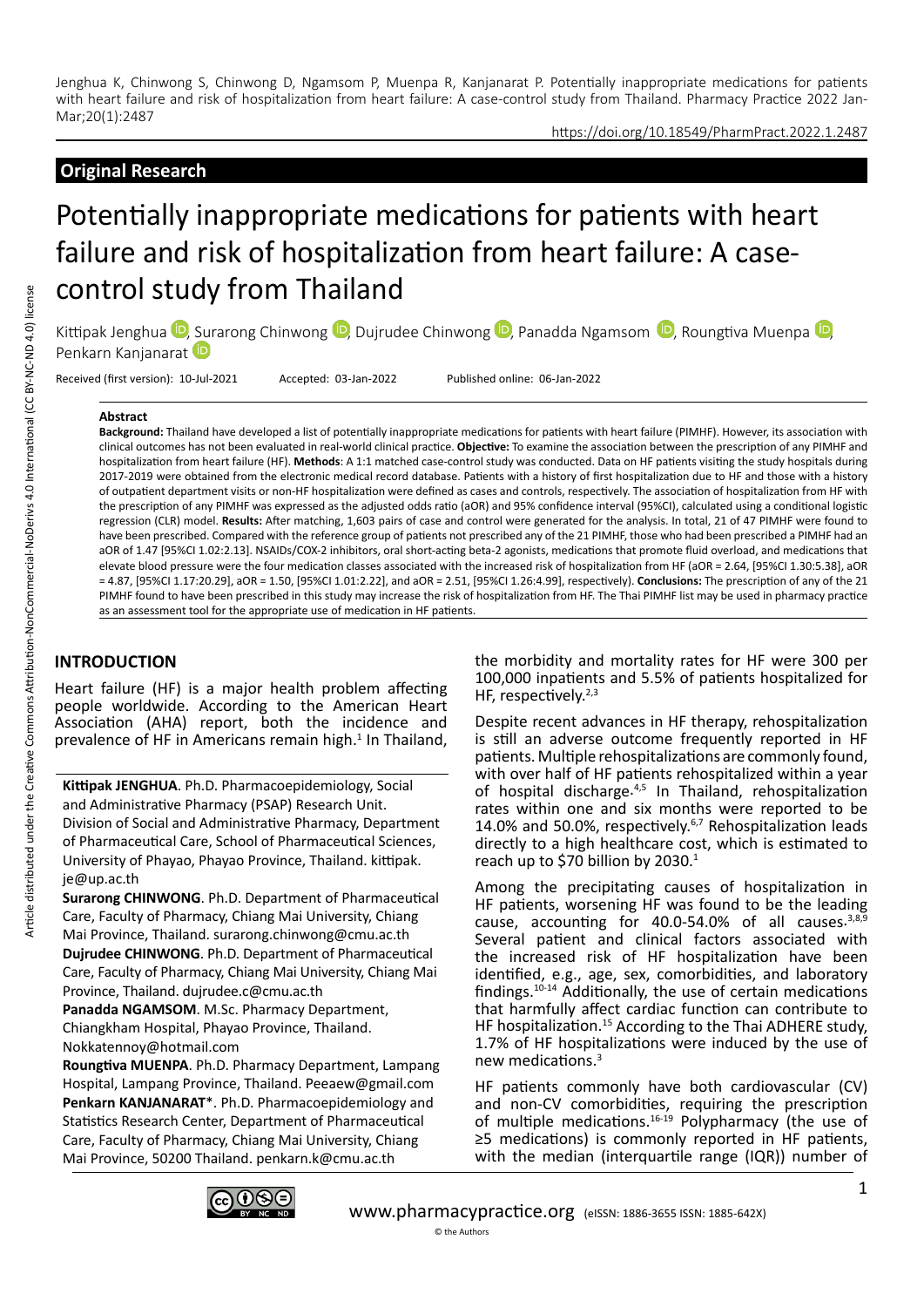#### https://doi.org/10.18549/PharmPract.2022.1.2487

# **Original Research**

# Potentially inappropriate medications for patients with heart failure and risk of hospitalization from heart failure: A casecontrol study from Thailand

Kittipak Jenghua <sup>(D</sup>. [Sur](https://orcid.org/0000-0003-4320-943X)arong Chinwong <sup>(D</sup>. Duirudee Chinwong <sup>(D.</sup> Panadda Ngamsom <sup>(D.</sup> Roungtiva Muenpa <sup>(D</sup>. Penkarn Kanjanarat

Received (first version): 10-Jul-2021 Accepted: 03-Jan-2022 Published online: 06-Jan-2022

#### **Abstract**

**Background:** Thailand have developed a list of potentially inappropriate medications for patients with heart failure (PIMHF). However, its association with clinical outcomes has not been evaluated in real-world clinical practice. **Objective:** To examine the association between the prescription of any PIMHF and hospitalization from heart failure (HF). **Methods**: A 1:1 matched case-control study was conducted. Data on HF patients visiting the study hospitals during 2017-2019 were obtained from the electronic medical record database. Patients with a history of first hospitalization due to HF and those with a history of outpatient department visits or non-HF hospitalization were defined as cases and controls, respectively. The association of hospitalization from HF with the prescription of any PIMHF was expressed as the adjusted odds ratio (aOR) and 95% confidence interval (95%CI), calculated using a conditional logistic regression (CLR) model. **Results:** After matching, 1,603 pairs of case and control were generated for the analysis. In total, 21 of 47 PIMHF were found to have been prescribed. Compared with the reference group of patients not prescribed any of the 21 PIMHF, those who had been prescribed a PIMHF had an aOR of 1.47 [95%CI 1.02:2.13]. NSAIDs/COX-2 inhibitors, oral short-acting beta-2 agonists, medications that promote fluid overload, and medications that elevate blood pressure were the four medication classes associated with the increased risk of hospitalization from HF (aOR = 2.64, [95%CI 1.30:5.38], aOR = 4.87, [95%CI 1.17:20.29], aOR = 1.50, [95%CI 1.01:2.22], and aOR = 2.51, [95%CI 1.26:4.99], respectively). **Conclusions:** The prescription of any of the 21 PIMHF found to have been prescribed in this study may increase the risk of hospitalization from HF. The Thai PIMHF list may be used in pharmacy practice as an assessment tool for the appropriate use of medication in HF patients.

## **INTRODUCTION**

Heart failure (HF) is a major health problem affecting people worldwide. According to the American Heart Association (AHA) report, both the incidence and prevalence of HF in Americans remain high.<sup>1</sup> In Thailand,

**Kittipak JENGHUA**. Ph.D. Pharmacoepidemiology, Social and Administrative Pharmacy (PSAP) Research Unit. Division of Social and Administrative Pharmacy, Department of Pharmaceutical Care, School of Pharmaceutical Sciences, University of Phayao, Phayao Province, Thailand. kittipak. je@up.ac.th

**Surarong CHINWONG**. Ph.D. Department of Pharmaceutical Care, Faculty of Pharmacy, Chiang Mai University, Chiang Mai Province, Thailand. surarong.chinwong@cmu.ac.th

**Dujrudee CHINWONG**. Ph.D. Department of Pharmaceutical Care, Faculty of Pharmacy, Chiang Mai University, Chiang Mai Province, Thailand. dujrudee.c@cmu.ac.th

**Panadda NGAMSOM**. M.Sc. Pharmacy Department, Chiangkham Hospital, Phayao Province, Thailand. Nokkatennoy@hotmail.com

**Roungtiva MUENPA**. Ph.D. Pharmacy Department, Lampang Hospital, Lampang Province, Thailand. Peeaew@gmail.com **Penkarn KANJANARAT**\*. Ph.D. Pharmacoepidemiology and Statistics Research Center, Department of Pharmaceutical Care, Faculty of Pharmacy, Chiang Mai University, Chiang Mai Province, 50200 Thailand. penkarn.k@cmu.ac.th

the morbidity and mortality rates for HF were 300 per 100,000 inpatients and 5.5% of patients hospitalized for HF, respectively.<sup>2,3</sup>

Despite recent advances in HF therapy, rehospitalization is still an adverse outcome frequently reported in HF patients. Multiple rehospitalizations are commonly found, with over half of HF patients rehospitalized within a year of hospital discharge. $4,5$  In Thailand, rehospitalization rates within one and six months were reported to be 14.0% and 50.0%, respectively.6,7 Rehospitalization leads directly to a high healthcare cost, which is estimated to reach up to \$70 billion by 2030.<sup>1</sup>

Among the precipitating causes of hospitalization in HF patients, worsening HF was found to be the leading cause, accounting for 40.0-54.0% of all causes.<sup>3,8,9</sup> Several patient and clinical factors associated with the increased risk of HF hospitalization have been identified, e.g., age, sex, comorbidities, and laboratory findings.10-14 Additionally, the use of certain medications that harmfully affect cardiac function can contribute to HF hospitalization.<sup>15</sup> According to the Thai ADHERE study, 1.7% of HF hospitalizations were induced by the use of new medications.3

HF patients commonly have both cardiovascular (CV) and non-CV comorbidities, requiring the prescription of multiple medications.<sup>16-19</sup> Polypharmacy (the use of ≥5 medications) is commonly reported in HF patients, with the median (interquartile range (IQR)) number of

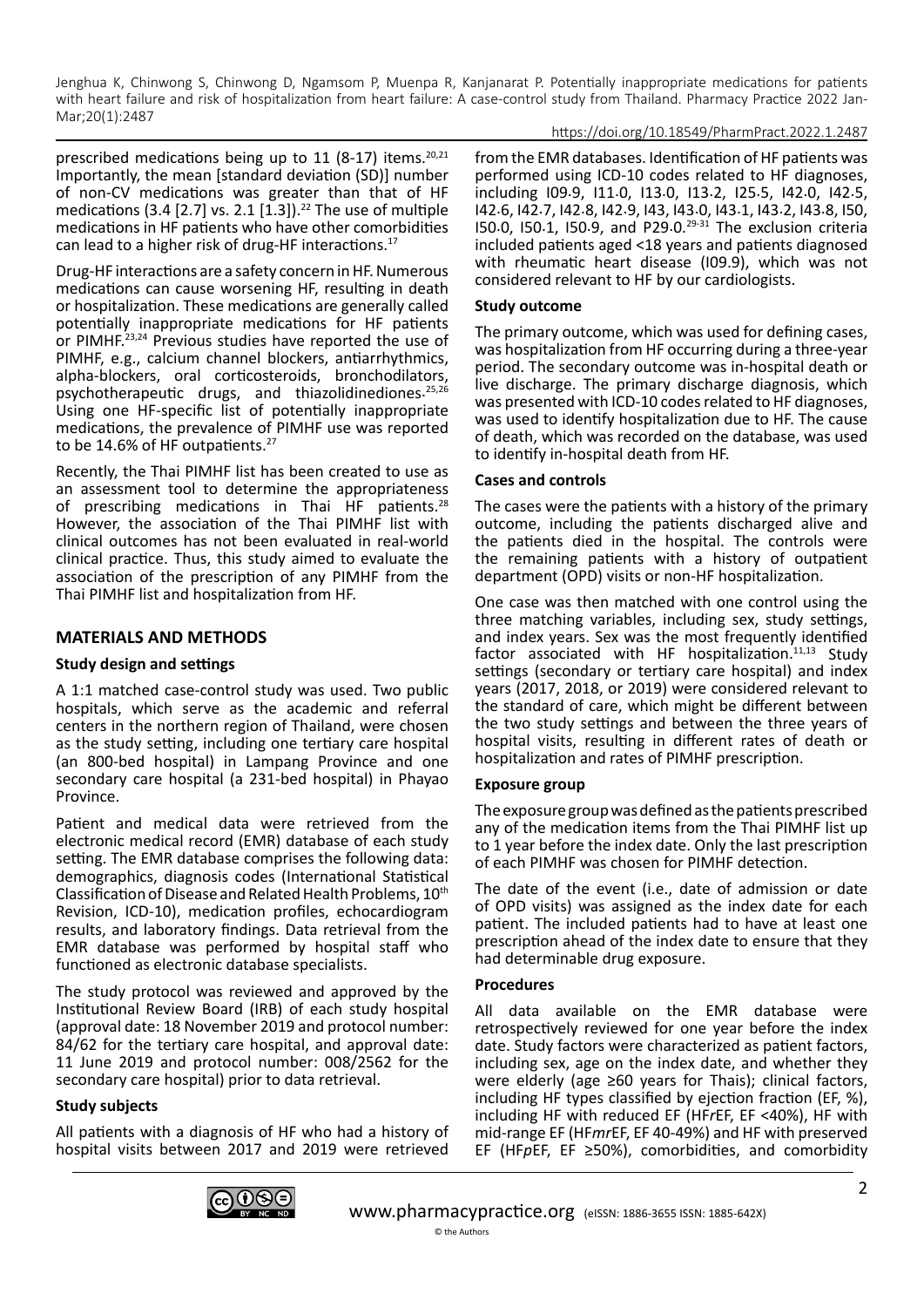https://doi.org/10.18549/PharmPract.2022.1.2487

prescribed medications being up to 11 (8-17) items.<sup>20,21</sup> Importantly, the mean [standard deviation (SD)] number of non-CV medications was greater than that of HF medications (3.4 [2.7] vs. 2.1 [1.3]).<sup>22</sup> The use of multiple medications in HF patients who have other comorbidities can lead to a higher risk of drug-HF interactions.<sup>17</sup>

Drug-HF interactions are a safety concern in HF. Numerous medications can cause worsening HF, resulting in death or hospitalization. These medications are generally called potentially inappropriate medications for HF patients or PIMHF.<sup>23,24</sup> Previous studies have reported the use of PIMHF, e.g., calcium channel blockers, antiarrhythmics, alpha-blockers, oral corticosteroids, bronchodilators, psychotherapeutic drugs, and thiazolidinediones.<sup>25,26</sup> Using one HF-specific list of potentially inappropriate medications, the prevalence of PIMHF use was reported to be 14.6% of HF outpatients.<sup>27</sup>

Recently, the Thai PIMHF list has been created to use as an assessment tool to determine the appropriateness of prescribing medications in Thai HF patients.<sup>28</sup> However, the association of the Thai PIMHF list with clinical outcomes has not been evaluated in real-world clinical practice. Thus, this study aimed to evaluate the association of the prescription of any PIMHF from the Thai PIMHF list and hospitalization from HF.

# **MATERIALS AND METHODS**

## **Study design and settings**

A 1:1 matched case-control study was used. Two public hospitals, which serve as the academic and referral centers in the northern region of Thailand, were chosen as the study setting, including one tertiary care hospital (an 800-bed hospital) in Lampang Province and one secondary care hospital (a 231-bed hospital) in Phayao Province.

Patient and medical data were retrieved from the electronic medical record (EMR) database of each study setting. The EMR database comprises the following data: demographics, diagnosis codes (International Statistical Classification of Disease and Related Health Problems, 10th Revision, ICD-10), medication profiles, echocardiogram results, and laboratory findings. Data retrieval from the EMR database was performed by hospital staff who functioned as electronic database specialists.

The study protocol was reviewed and approved by the Institutional Review Board (IRB) of each study hospital (approval date: 18 November 2019 and protocol number: 84/62 for the tertiary care hospital, and approval date: 11 June 2019 and protocol number: 008/2562 for the secondary care hospital) prior to data retrieval.

## **Study subjects**

All patients with a diagnosis of HF who had a history of hospital visits between 2017 and 2019 were retrieved from the EMR databases. Identification of HF patients was performed using ICD-10 codes related to HF diagnoses, including I09.9, I11.0, I13.0, I13.2, I25.5, I42.0, I42.5, I42.6, I42.7, I42.8, I42.9, I43, I43.0, I43.1, I43.2, I43.8, I50, I50.0, I50.1, I50.9, and P29.0.29-31 The exclusion criteria included patients aged <18 years and patients diagnosed with rheumatic heart disease (I09.9), which was not considered relevant to HF by our cardiologists.

#### **Study outcome**

The primary outcome, which was used for defining cases, was hospitalization from HF occurring during a three-year period. The secondary outcome was in-hospital death or live discharge. The primary discharge diagnosis, which was presented with ICD-10 codes related to HF diagnoses, was used to identify hospitalization due to HF. The cause of death, which was recorded on the database, was used to identify in-hospital death from HF.

#### **Cases and controls**

The cases were the patients with a history of the primary outcome, including the patients discharged alive and the patients died in the hospital. The controls were the remaining patients with a history of outpatient department (OPD) visits or non-HF hospitalization.

One case was then matched with one control using the three matching variables, including sex, study settings, and index years. Sex was the most frequently identified factor associated with HF hospitalization. $11,13$  Study settings (secondary or tertiary care hospital) and index years (2017, 2018, or 2019) were considered relevant to the standard of care, which might be different between the two study settings and between the three years of hospital visits, resulting in different rates of death or hospitalization and rates of PIMHF prescription.

## **Exposure group**

The exposure group was defined as the patients prescribed any of the medication items from the Thai PIMHF list up to 1 year before the index date. Only the last prescription of each PIMHF was chosen for PIMHF detection.

The date of the event (i.e., date of admission or date of OPD visits) was assigned as the index date for each patient. The included patients had to have at least one prescription ahead of the index date to ensure that they had determinable drug exposure.

#### **Procedures**

All data available on the EMR database were retrospectively reviewed for one year before the index date. Study factors were characterized as patient factors, including sex, age on the index date, and whether they were elderly (age ≥60 years for Thais); clinical factors, including HF types classified by ejection fraction (EF, %), including HF with reduced EF (HF*r*EF, EF <40%), HF with mid-range EF (HF*mr*EF, EF 40-49%) and HF with preserved EF (HF*p*EF, EF ≥50%), comorbidities, and comorbidity

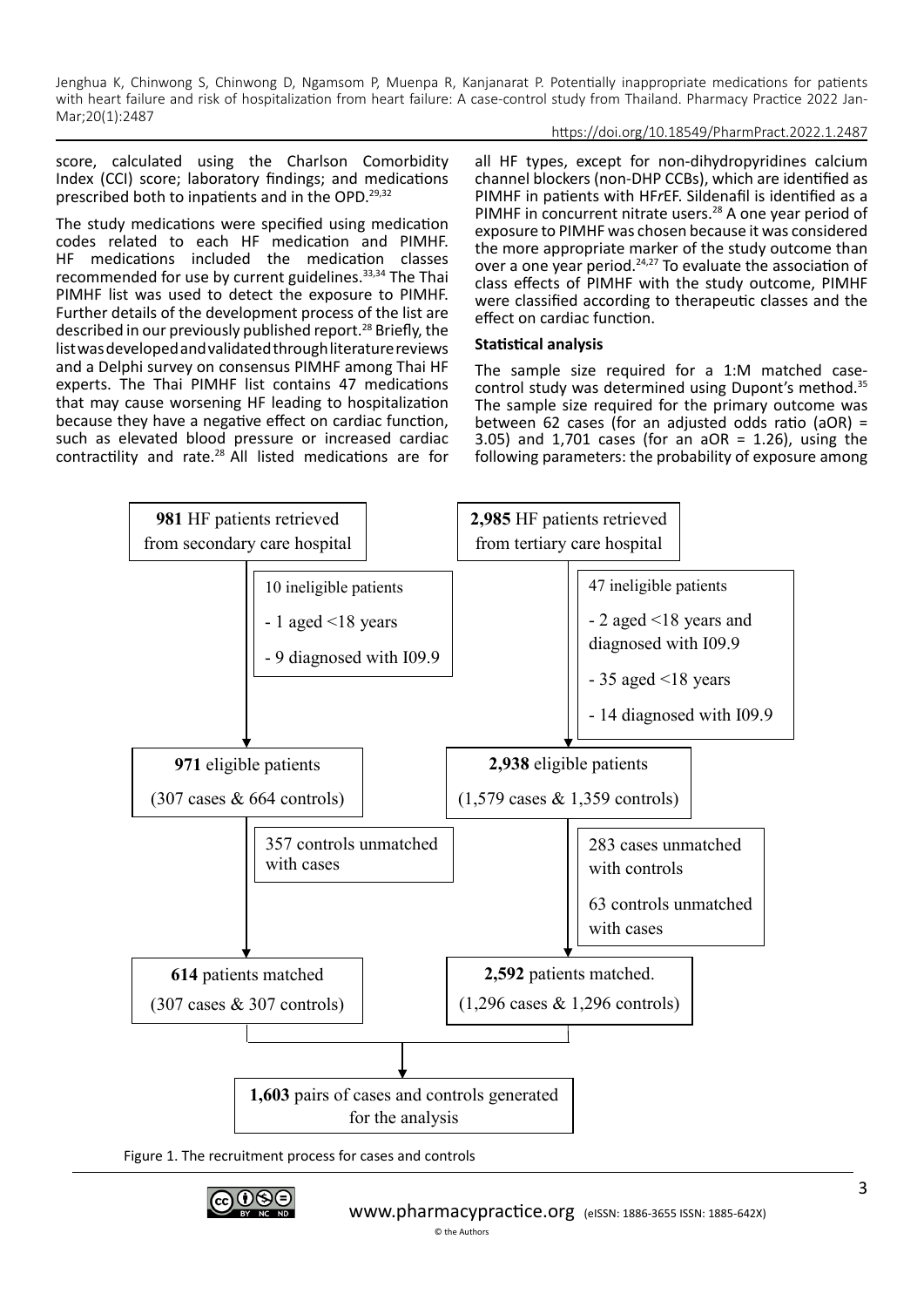## https://doi.org/10.18549/PharmPract.2022.1.2487

score, calculated using the Charlson Comorbidity Index (CCI) score; laboratory findings; and medications prescribed both to inpatients and in the OPD.<sup>29,32</sup>

The study medications were specified using medication codes related to each HF medication and PIMHF. HF medications included the medication classes recommended for use by current guidelines.<sup>33,34</sup> The Thai PIMHF list was used to detect the exposure to PIMHF. Further details of the development process of the list are described in our previously published report.<sup>28</sup> Briefly, the list was developed and validated through literature reviews and a Delphi survey on consensus PIMHF among Thai HF experts. The Thai PIMHF list contains 47 medications that may cause worsening HF leading to hospitalization because they have a negative effect on cardiac function, such as elevated blood pressure or increased cardiac contractility and rate.28 All listed medications are for all HF types, except for non-dihydropyridines calcium channel blockers (non-DHP CCBs), which are identified as PIMHF in patients with HF*r*EF. Sildenafil is identified as a PIMHF in concurrent nitrate users.<sup>28</sup> A one year period of exposure to PIMHF was chosen because it was considered the more appropriate marker of the study outcome than over a one year period.24,27 To evaluate the association of class effects of PIMHF with the study outcome, PIMHF were classified according to therapeutic classes and the effect on cardiac function.

## **Statistical analysis**

The sample size required for a 1:M matched casecontrol study was determined using Dupont's method.35 The sample size required for the primary outcome was between 62 cases (for an adjusted odds ratio (aOR) = 3.05) and 1,701 cases (for an aOR = 1.26), using the following parameters: the probability of exposure among





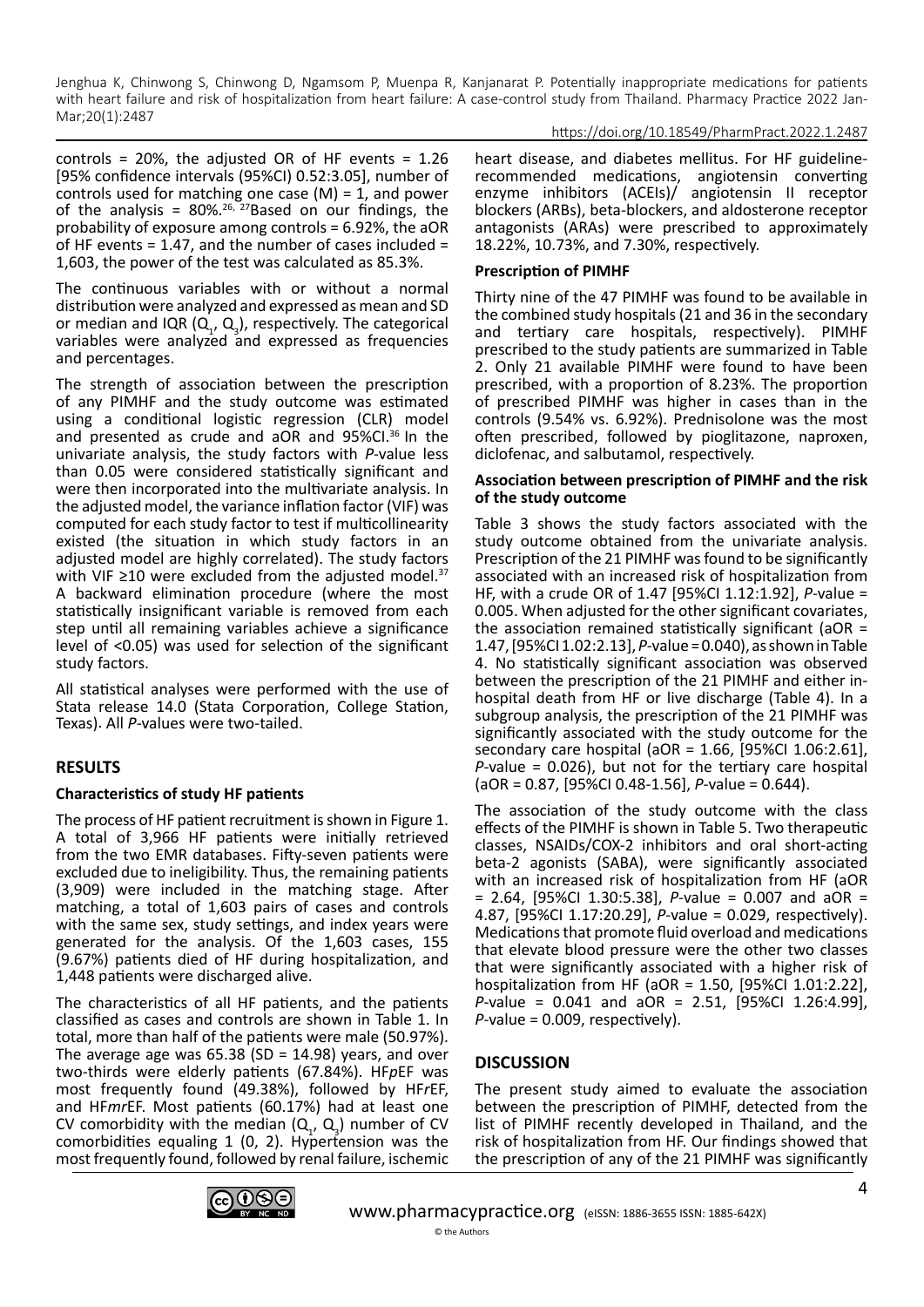#### https://doi.org/10.18549/PharmPract.2022.1.2487

controls = 20%, the adjusted OR of HF events =  $1.26$ [95% confidence intervals (95%CI) 0.52:3.05], number of controls used for matching one case  $(M) = 1$ , and power of the analysis =  $80\%$ .<sup>26, 27</sup>Based on our findings, the probability of exposure among controls = 6.92%, the aOR of HF events = 1.47, and the number of cases included = 1,603, the power of the test was calculated as 85.3%.

The continuous variables with or without a normal distribution were analyzed and expressed as mean and SD or median and IQR  $(Q_1, Q_3)$ , respectively. The categorical variables were analyzed and expressed as frequencies and percentages.

The strength of association between the prescription of any PIMHF and the study outcome was estimated using a conditional logistic regression (CLR) model and presented as crude and aOR and 95%CI.<sup>36</sup> In the univariate analysis, the study factors with *P*-value less than 0.05 were considered statistically significant and were then incorporated into the multivariate analysis. In the adjusted model, the variance inflation factor (VIF) was computed for each study factor to test if multicollinearity existed (the situation in which study factors in an adjusted model are highly correlated). The study factors with VIF ≥10 were excluded from the adjusted model.<sup>37</sup> A backward elimination procedure (where the most statistically insignificant variable is removed from each step until all remaining variables achieve a significance level of <0.05) was used for selection of the significant study factors.

All statistical analyses were performed with the use of Stata release 14.0 (Stata Corporation, College Station, Texas). All *P*-values were two-tailed.

## **RESULTS**

## **Characteristics of study HF patients**

The process of HF patient recruitment is shown in Figure 1. A total of 3,966 HF patients were initially retrieved from the two EMR databases. Fifty-seven patients were excluded due to ineligibility. Thus, the remaining patients (3,909) were included in the matching stage. After matching, a total of 1,603 pairs of cases and controls with the same sex, study settings, and index years were generated for the analysis. Of the 1,603 cases, 155 (9.67%) patients died of HF during hospitalization, and 1,448 patients were discharged alive.

The characteristics of all HF patients, and the patients classified as cases and controls are shown in Table 1. In total, more than half of the patients were male (50.97%). The average age was  $65.38$  (SD = 14.98) years, and over two-thirds were elderly patients (67.84%). HF*p*EF was most frequently found (49.38%), followed by HF*r*EF, and HF*mr*EF. Most patients (60.17%) had at least one CV comorbidity with the median  $(Q_1, Q_3)$  number of CV comorbidities equaling 1 (0, 2). Hypertension was the most frequently found, followed by renal failure, ischemic

heart disease, and diabetes mellitus. For HF guidelinerecommended medications, angiotensin converting enzyme inhibitors (ACEIs)/ angiotensin II receptor blockers (ARBs), beta-blockers, and aldosterone receptor antagonists (ARAs) were prescribed to approximately 18.22%, 10.73%, and 7.30%, respectively.

#### **Prescription of PIMHF**

Thirty nine of the 47 PIMHF was found to be available in the combined study hospitals (21 and 36 in the secondary and tertiary care hospitals, respectively). PIMHF prescribed to the study patients are summarized in Table 2. Only 21 available PIMHF were found to have been prescribed, with a proportion of 8.23%. The proportion of prescribed PIMHF was higher in cases than in the controls (9.54% vs. 6.92%). Prednisolone was the most often prescribed, followed by pioglitazone, naproxen, diclofenac, and salbutamol, respectively.

#### **Association between prescription of PIMHF and the risk of the study outcome**

Table 3 shows the study factors associated with the study outcome obtained from the univariate analysis. Prescription of the 21 PIMHF was found to be significantly associated with an increased risk of hospitalization from HF, with a crude OR of 1.47 [95%CI 1.12:1.92], *P*-value = 0.005. When adjusted for the other significant covariates, the association remained statistically significant (aOR = 1.47, [95%CI 1.02:2.13], *P*-value = 0.040), as shown in Table 4. No statistically significant association was observed between the prescription of the 21 PIMHF and either inhospital death from HF or live discharge (Table 4). In a subgroup analysis, the prescription of the 21 PIMHF was significantly associated with the study outcome for the secondary care hospital (aOR = 1.66, [95%CI 1.06:2.61], *P*-value = 0.026), but not for the tertiary care hospital (aOR = 0.87, [95%CI 0.48-1.56], *P*-value = 0.644).

The association of the study outcome with the class effects of the PIMHF is shown in Table 5. Two therapeutic classes, NSAIDs/COX-2 inhibitors and oral short-acting beta-2 agonists (SABA), were significantly associated with an increased risk of hospitalization from HF (aOR = 2.64, [95%CI 1.30:5.38], *P*-value = 0.007 and aOR = 4.87, [95%CI 1.17:20.29], *P*-value = 0.029, respectively). Medications that promote fluid overload and medications that elevate blood pressure were the other two classes that were significantly associated with a higher risk of hospitalization from HF (aOR = 1.50, [95%CI 1.01:2.22], *P*-value = 0.041 and aOR = 2.51, [95%CI 1.26:4.99], *P*-value = 0.009, respectively).

# **DISCUSSION**

The present study aimed to evaluate the association between the prescription of PIMHF, detected from the list of PIMHF recently developed in Thailand, and the risk of hospitalization from HF. Our findings showed that the prescription of any of the 21 PIMHF was significantly

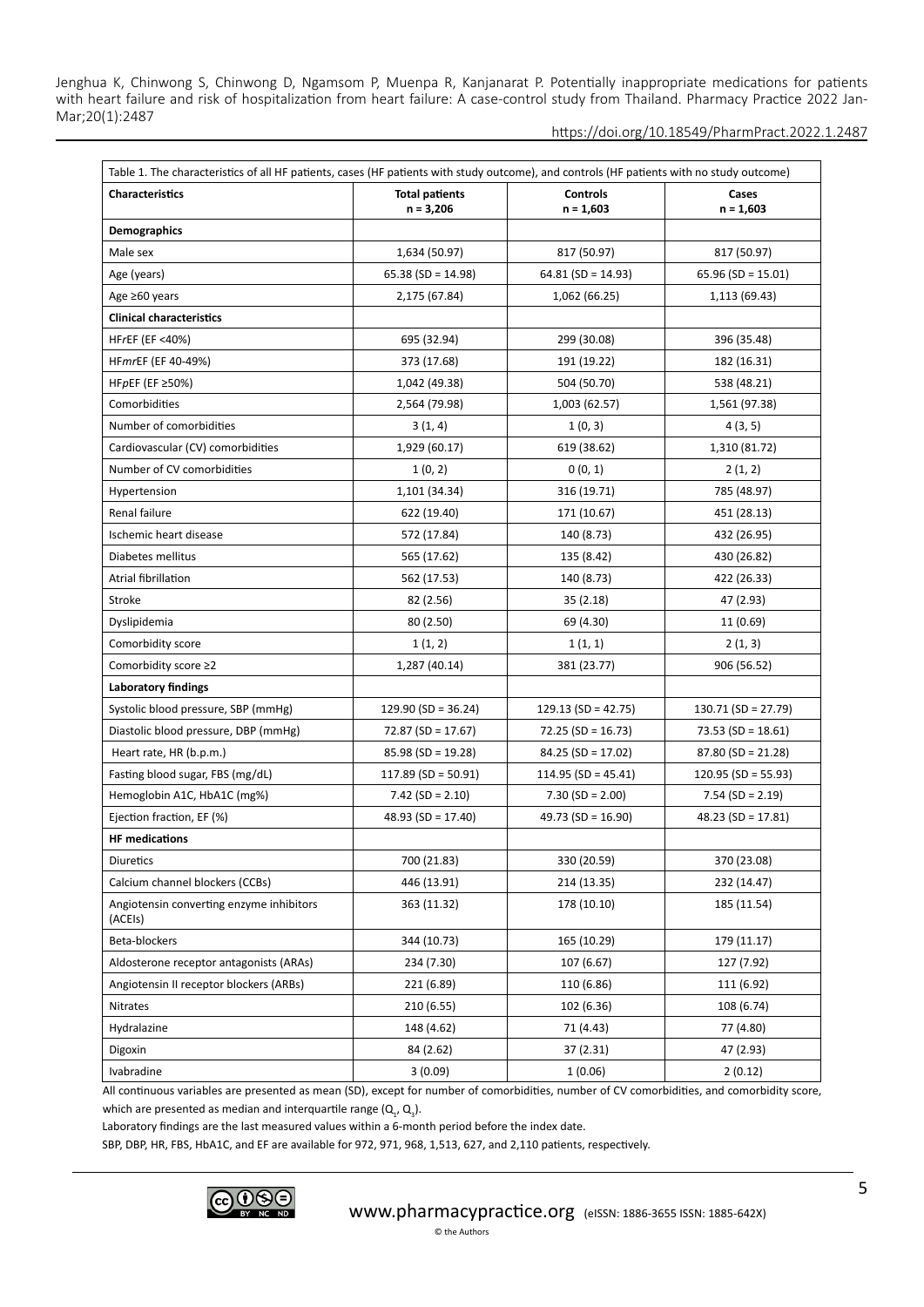https://doi.org/10.18549/PharmPract.2022.1.2487

| Table 1. The characteristics of all HF patients, cases (HF patients with study outcome), and controls (HF patients with no study outcome) |                                      |                                |                       |  |
|-------------------------------------------------------------------------------------------------------------------------------------------|--------------------------------------|--------------------------------|-----------------------|--|
| <b>Characteristics</b>                                                                                                                    | <b>Total patients</b><br>$n = 3,206$ | <b>Controls</b><br>$n = 1,603$ | Cases<br>$n = 1,603$  |  |
| <b>Demographics</b>                                                                                                                       |                                      |                                |                       |  |
| Male sex                                                                                                                                  | 1,634 (50.97)                        | 817 (50.97)                    | 817 (50.97)           |  |
| Age (years)                                                                                                                               | $65.38$ (SD = 14.98)                 | $64.81$ (SD = 14.93)           | 65.96 (SD = 15.01)    |  |
| Age ≥60 years                                                                                                                             | 2,175 (67.84)                        | 1,062 (66.25)                  | 1,113 (69.43)         |  |
| <b>Clinical characteristics</b>                                                                                                           |                                      |                                |                       |  |
| <b>HFrEF (EF &lt;40%)</b>                                                                                                                 | 695 (32.94)                          | 299 (30.08)                    | 396 (35.48)           |  |
| HFmrEF (EF 40-49%)                                                                                                                        | 373 (17.68)                          | 191 (19.22)                    | 182 (16.31)           |  |
| HFpEF (EF $\geq$ 50%)                                                                                                                     | 1,042 (49.38)                        | 504 (50.70)                    | 538 (48.21)           |  |
| Comorbidities                                                                                                                             | 2,564 (79.98)                        | 1,003 (62.57)                  | 1,561 (97.38)         |  |
| Number of comorbidities                                                                                                                   | 3(1, 4)                              | 1(0, 3)                        | 4(3, 5)               |  |
| Cardiovascular (CV) comorbidities                                                                                                         | 1,929 (60.17)                        | 619 (38.62)                    | 1,310 (81.72)         |  |
| Number of CV comorbidities                                                                                                                | 1(0, 2)                              | 0(0, 1)                        | 2(1, 2)               |  |
| Hypertension                                                                                                                              | 1,101 (34.34)                        | 316 (19.71)                    | 785 (48.97)           |  |
| Renal failure                                                                                                                             | 622 (19.40)                          | 171 (10.67)                    | 451 (28.13)           |  |
| Ischemic heart disease                                                                                                                    | 572 (17.84)                          | 140 (8.73)                     | 432 (26.95)           |  |
| Diabetes mellitus                                                                                                                         | 565 (17.62)                          | 135 (8.42)                     | 430 (26.82)           |  |
| Atrial fibrillation                                                                                                                       | 562 (17.53)                          | 140 (8.73)                     | 422 (26.33)           |  |
| Stroke                                                                                                                                    | 82 (2.56)                            | 35(2.18)                       | 47 (2.93)             |  |
| Dyslipidemia                                                                                                                              | 80 (2.50)                            | 69 (4.30)                      | 11 (0.69)             |  |
| Comorbidity score                                                                                                                         | 1(1, 2)                              | 1(1, 1)                        | 2(1, 3)               |  |
| Comorbidity score ≥2                                                                                                                      | 1,287 (40.14)                        | 381 (23.77)                    | 906 (56.52)           |  |
| <b>Laboratory findings</b>                                                                                                                |                                      |                                |                       |  |
| Systolic blood pressure, SBP (mmHg)                                                                                                       | $129.90$ (SD = 36.24)                | $129.13$ (SD = 42.75)          | $130.71$ (SD = 27.79) |  |
| Diastolic blood pressure, DBP (mmHg)                                                                                                      | $72.87$ (SD = 17.67)                 | $72.25$ (SD = 16.73)           | 73.53 (SD = $18.61$ ) |  |
| Heart rate, HR (b.p.m.)                                                                                                                   | $85.98$ (SD = 19.28)                 | $84.25$ (SD = 17.02)           | $87.80$ (SD = 21.28)  |  |
| Fasting blood sugar, FBS (mg/dL)                                                                                                          | $117.89$ (SD = 50.91)                | $114.95$ (SD = 45.41)          | 120.95 (SD = 55.93)   |  |
| Hemoglobin A1C, HbA1C (mg%)                                                                                                               | $7.42$ (SD = 2.10)                   | $7.30$ (SD = 2.00)             | $7.54$ (SD = 2.19)    |  |
| Ejection fraction, EF (%)                                                                                                                 | 48.93 (SD = 17.40)                   | 49.73 (SD = 16.90)             | $48.23$ (SD = 17.81)  |  |
| <b>HF</b> medications                                                                                                                     |                                      |                                |                       |  |
| Diuretics                                                                                                                                 | 700 (21.83)                          | 330 (20.59)                    | 370 (23.08)           |  |
| Calcium channel blockers (CCBs)                                                                                                           | 446 (13.91)                          | 214 (13.35)                    | 232 (14.47)           |  |
| Angiotensin converting enzyme inhibitors<br>(ACEIs)                                                                                       | 363 (11.32)                          | 178 (10.10)                    | 185 (11.54)           |  |
| Beta-blockers                                                                                                                             | 344 (10.73)                          | 165 (10.29)                    | 179 (11.17)           |  |
| Aldosterone receptor antagonists (ARAs)                                                                                                   | 234 (7.30)                           | 107 (6.67)                     | 127 (7.92)            |  |
| Angiotensin II receptor blockers (ARBs)                                                                                                   | 221 (6.89)                           | 110 (6.86)                     | 111 (6.92)            |  |
| Nitrates                                                                                                                                  | 210 (6.55)                           | 102 (6.36)                     | 108 (6.74)            |  |
| Hydralazine                                                                                                                               | 148 (4.62)                           | 71 (4.43)                      | 77 (4.80)             |  |
| Digoxin                                                                                                                                   | 84 (2.62)                            | 37(2.31)                       | 47 (2.93)             |  |
| Ivabradine                                                                                                                                | 3(0.09)                              | 1(0.06)                        | 2(0.12)               |  |

All continuous variables are presented as mean (SD), except for number of comorbidities, number of CV comorbidities, and comorbidity score, which are presented as median and interquartile range  $(Q_{1}, Q_{3})$ .

Laboratory findings are the last measured values within a 6-month period before the index date.

SBP, DBP, HR, FBS, HbA1C, and EF are available for 972, 971, 968, 1,513, 627, and 2,110 patients, respectively.

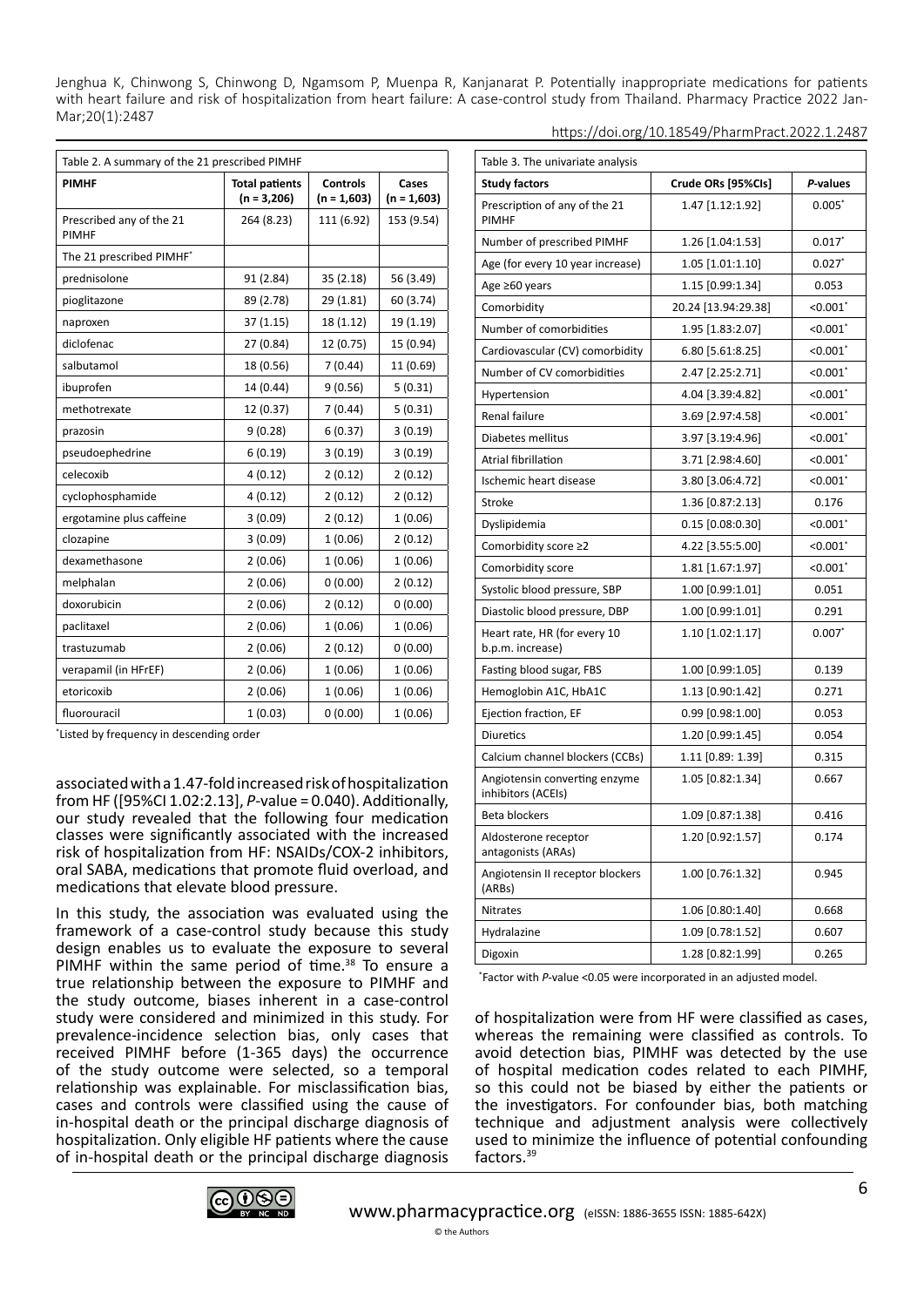| Table 2. A summary of the 21 prescribed PIMHF |                                        |                                  |                        |
|-----------------------------------------------|----------------------------------------|----------------------------------|------------------------|
| <b>PIMHF</b>                                  | <b>Total patients</b><br>$(n = 3,206)$ | <b>Controls</b><br>$(n = 1,603)$ | Cases<br>$(n = 1,603)$ |
| Prescribed any of the 21<br><b>PIMHF</b>      | 264 (8.23)                             | 111 (6.92)                       | 153 (9.54)             |
| The 21 prescribed PIMHF*                      |                                        |                                  |                        |
| prednisolone                                  | 91 (2.84)                              | 35(2.18)                         | 56 (3.49)              |
| pioglitazone                                  | 89 (2.78)                              | 29 (1.81)                        | 60 (3.74)              |
| naproxen                                      | 37(1.15)                               | 18 (1.12)                        | 19 (1.19)              |
| diclofenac                                    | 27 (0.84)                              | 12 (0.75)                        | 15 (0.94)              |
| salbutamol                                    | 18 (0.56)                              | 7(0.44)                          | 11 (0.69)              |
| ibuprofen                                     | 14 (0.44)                              | 9(0.56)                          | 5(0.31)                |
| methotrexate                                  | 12 (0.37)                              | 7(0.44)                          | 5(0.31)                |
| prazosin                                      | 9(0.28)                                | 6(0.37)                          | 3(0.19)                |
| pseudoephedrine                               | 6(0.19)                                | 3(0.19)                          | 3(0.19)                |
| celecoxib                                     | 4(0.12)                                | 2(0.12)                          | 2(0.12)                |
| cyclophosphamide                              | 4(0.12)                                | 2(0.12)                          | 2(0.12)                |
| ergotamine plus caffeine                      | 3(0.09)                                | 2(0.12)                          | 1(0.06)                |
| clozapine                                     | 3(0.09)                                | 1(0.06)                          | 2(0.12)                |
| dexamethasone                                 | 2(0.06)                                | 1(0.06)                          | 1(0.06)                |
| melphalan                                     | 2(0.06)                                | 0(0.00)                          | 2(0.12)                |
| doxorubicin                                   | 2(0.06)                                | 2(0.12)                          | 0(0.00)                |
| paclitaxel                                    | 2(0.06)                                | 1(0.06)                          | 1(0.06)                |
| trastuzumab                                   | 2(0.06)                                | 2(0.12)                          | 0(0.00)                |
| verapamil (in HFrEF)                          | 2(0.06)                                | 1(0.06)                          | 1(0.06)                |
| etoricoxib                                    | 2(0.06)                                | 1(0.06)                          | 1(0.06)                |
| fluorouracil                                  | 1(0.03)                                | 0(0.00)                          | 1(0.06)                |

\* Listed by frequency in descending order

associated with a 1.47-fold increased risk of hospitalization from HF ([95%CI 1.02:2.13], *P*-value = 0.040). Additionally, our study revealed that the following four medication classes were significantly associated with the increased risk of hospitalization from HF: NSAIDs/COX-2 inhibitors, oral SABA, medications that promote fluid overload, and medications that elevate blood pressure.

In this study, the association was evaluated using the framework of a case-control study because this study design enables us to evaluate the exposure to several PIMHF within the same period of time.<sup>38</sup> To ensure a true relationship between the exposure to PIMHF and the study outcome, biases inherent in a case-control study were considered and minimized in this study. For prevalence-incidence selection bias, only cases that received PIMHF before (1-365 days) the occurrence of the study outcome were selected, so a temporal relationship was explainable. For misclassification bias, cases and controls were classified using the cause of in-hospital death or the principal discharge diagnosis of hospitalization. Only eligible HF patients where the cause of in-hospital death or the principal discharge diagnosis

| Table 3. The univariate analysis                    |                     |                        |
|-----------------------------------------------------|---------------------|------------------------|
| <b>Study factors</b>                                | Crude ORs [95%Cls]  | P-values               |
| Prescription of any of the 21<br><b>PIMHF</b>       | 1.47 [1.12:1.92]    | $0.005*$               |
| Number of prescribed PIMHF                          | 1.26 [1.04:1.53]    | $0.017*$               |
| Age (for every 10 year increase)                    | 1.05 [1.01:1.10]    | $0.027*$               |
| Age ≥60 years                                       | 1.15 [0.99:1.34]    | 0.053                  |
| Comorbidity                                         | 20.24 [13.94:29.38] | $< 0.001$ <sup>*</sup> |
| Number of comorbidities                             | 1.95 [1.83:2.07]    | $< 0.001$ <sup>*</sup> |
| Cardiovascular (CV) comorbidity                     | 6.80 [5.61:8.25]    | $< 0.001$ <sup>*</sup> |
| Number of CV comorbidities                          | 2.47 [2.25:2.71]    | $< 0.001$ <sup>*</sup> |
| Hypertension                                        | 4.04 [3.39:4.82]    | $< 0.001$ <sup>*</sup> |
| Renal failure                                       | 3.69 [2.97:4.58]    | $< 0.001$ <sup>*</sup> |
| Diabetes mellitus                                   | 3.97 [3.19:4.96]    | $< 0.001$ <sup>*</sup> |
| Atrial fibrillation                                 | 3.71 [2.98:4.60]    | $< 0.001$ <sup>*</sup> |
| Ischemic heart disease                              | 3.80 [3.06:4.72]    | $< 0.001$ <sup>*</sup> |
| Stroke                                              | 1.36 [0.87:2.13]    | 0.176                  |
| Dyslipidemia                                        | 0.15 [0.08:0.30]    | $< 0.001$ <sup>*</sup> |
| Comorbidity score ≥2                                | 4.22 [3.55:5.00]    | $< 0.001$ <sup>*</sup> |
| Comorbidity score                                   | 1.81 [1.67:1.97]    | $< 0.001$ <sup>*</sup> |
| Systolic blood pressure, SBP                        | 1.00 [0.99:1.01]    | 0.051                  |
| Diastolic blood pressure, DBP                       | 1.00 [0.99:1.01]    | 0.291                  |
| Heart rate, HR (for every 10<br>b.p.m. increase)    | 1.10 [1.02:1.17]    | $0.007*$               |
| Fasting blood sugar, FBS                            | 1.00 [0.99:1.05]    | 0.139                  |
| Hemoglobin A1C, HbA1C                               | 1.13 [0.90:1.42]    | 0.271                  |
| Ejection fraction, EF                               | 0.99 [0.98:1.00]    | 0.053                  |
| <b>Diuretics</b>                                    | 1.20 [0.99:1.45]    | 0.054                  |
| Calcium channel blockers (CCBs)                     | 1.11 [0.89: 1.39]   | 0.315                  |
| Angiotensin converting enzyme<br>inhibitors (ACEIs) | 1.05 [0.82:1.34]    | 0.667                  |
| Beta blockers                                       | 1.09 [0.87:1.38]    | 0.416                  |
| Aldosterone receptor<br>antagonists (ARAs)          | 1.20 [0.92:1.57]    | 0.174                  |
| Angiotensin II receptor blockers<br>(ARBs)          | 1.00 [0.76:1.32]    | 0.945                  |
| Nitrates                                            | 1.06 [0.80:1.40]    | 0.668                  |
| Hydralazine                                         | 1.09 [0.78:1.52]    | 0.607                  |
| Digoxin                                             | 1.28 [0.82:1.99]    | 0.265                  |

\* Factor with *P*-value <0.05 were incorporated in an adjusted model.

of hospitalization were from HF were classified as cases, whereas the remaining were classified as controls. To avoid detection bias, PIMHF was detected by the use of hospital medication codes related to each PIMHF, so this could not be biased by either the patients or the investigators. For confounder bias, both matching technique and adjustment analysis were collectively used to minimize the influence of potential confounding factors.39

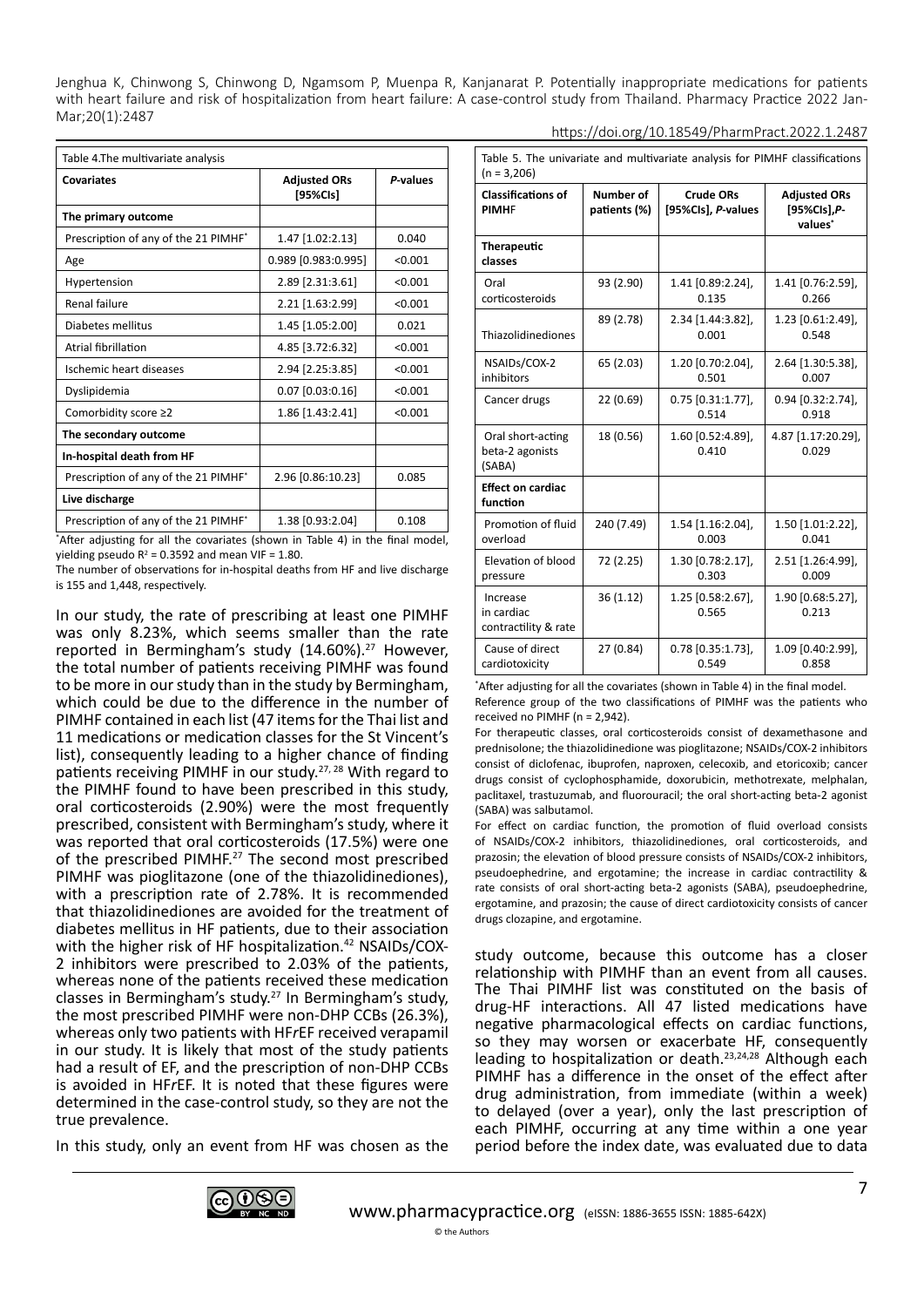| Table 4.The multivariate analysis    |                                 |          |  |
|--------------------------------------|---------------------------------|----------|--|
| Covariates                           | <b>Adjusted ORs</b><br>[95%CIs] | P-values |  |
| The primary outcome                  |                                 |          |  |
| Prescription of any of the 21 PIMHF* | 1.47 [1.02:2.13]                | 0.040    |  |
| Age                                  | 0.989 [0.983:0.995]             | < 0.001  |  |
| Hypertension                         | 2.89 [2.31:3.61]                | < 0.001  |  |
| Renal failure                        | 2.21 [1.63:2.99]                | < 0.001  |  |
| Diabetes mellitus                    | 1.45 [1.05:2.00]                | 0.021    |  |
| Atrial fibrillation                  | 4.85 [3.72:6.32]                | < 0.001  |  |
| Ischemic heart diseases              | 2.94 [2.25:3.85]                | < 0.001  |  |
| Dyslipidemia                         | $0.07$ [0.03:0.16]              | < 0.001  |  |
| Comorbidity score ≥2                 | 1.86 [1.43:2.41]                | < 0.001  |  |
| The secondary outcome                |                                 |          |  |
| In-hospital death from HF            |                                 |          |  |
| Prescription of any of the 21 PIMHF* | 2.96 [0.86:10.23]               | 0.085    |  |
| Live discharge                       |                                 |          |  |
| Prescription of any of the 21 PIMHF* | 1.38 [0.93:2.04]                | 0.108    |  |

\* After adjusting for all the covariates (shown in Table 4) in the final model, yielding pseudo  $R^2 = 0.3592$  and mean VIF = 1.80.

The number of observations for in-hospital deaths from HF and live discharge is 155 and 1,448, respectively.

In our study, the rate of prescribing at least one PIMHF was only 8.23%, which seems smaller than the rate reported in Bermingham's study (14.60%).<sup>27</sup> However, the total number of patients receiving PIMHF was found to be more in our study than in the study by Bermingham, which could be due to the difference in the number of PIMHF contained in each list (47 items for the Thai list and 11 medications or medication classes for the St Vincent's list), consequently leading to a higher chance of finding patients receiving PIMHF in our study.<sup>27, 28</sup> With regard to the PIMHF found to have been prescribed in this study, oral corticosteroids (2.90%) were the most frequently prescribed, consistent with Bermingham's study, where it was reported that oral corticosteroids (17.5%) were one of the prescribed PIMHF.<sup>27</sup> The second most prescribed PIMHF was pioglitazone (one of the thiazolidinediones), with a prescription rate of 2.78%. It is recommended that thiazolidinediones are avoided for the treatment of diabetes mellitus in HF patients, due to their association with the higher risk of HF hospitalization.<sup>42</sup> NSAIDs/COX-2 inhibitors were prescribed to 2.03% of the patients, whereas none of the patients received these medication classes in Bermingham's study.<sup>27</sup> In Bermingham's study, the most prescribed PIMHF were non-DHP CCBs (26.3%), whereas only two patients with HF*r*EF received verapamil in our study. It is likely that most of the study patients had a result of EF, and the prescription of non-DHP CCBs is avoided in HF*r*EF. It is noted that these figures were determined in the case-control study, so they are not the true prevalence.

In this study, only an event from HF was chosen as the

| Table 5. The univariate and multivariate analysis for PIMHF classifications<br>$(n = 3,206)$ |                           |                                        |                                                            |  |
|----------------------------------------------------------------------------------------------|---------------------------|----------------------------------------|------------------------------------------------------------|--|
| <b>Classifications of</b><br><b>PIMHF</b>                                                    | Number of<br>patients (%) | <b>Crude ORs</b><br>[95%Cls], P-values | <b>Adjusted ORs</b><br>[95%CIs], P-<br>values <sup>*</sup> |  |
| <b>Therapeutic</b><br>classes                                                                |                           |                                        |                                                            |  |
| Oral<br>corticosteroids                                                                      | 93 (2.90)                 | 1.41 [0.89:2.24],<br>0.135             | 1.41 [0.76:2.59],<br>0.266                                 |  |
| Thiazolidinediones                                                                           | 89 (2.78)                 | 2.34 [1.44:3.82],<br>0.001             | 1.23 [0.61:2.49],<br>0.548                                 |  |
| NSAIDs/COX-2<br>inhibitors                                                                   | 65 (2.03)                 | 1.20 [0.70:2.04],<br>0.501             | 2.64 [1.30:5.38],<br>0.007                                 |  |
| Cancer drugs                                                                                 | 22 (0.69)                 | $0.75$ [0.31:1.77],<br>0.514           | $0.94$ $[0.32:2.74]$ ,<br>0.918                            |  |
| Oral short-acting<br>beta-2 agonists<br>(SABA)                                               | 18 (0.56)                 | 1.60 [0.52:4.89],<br>0.410             | 4.87 [1.17:20.29],<br>0.029                                |  |
| <b>Effect on cardiac</b><br>function                                                         |                           |                                        |                                                            |  |
| Promotion of fluid<br>overload                                                               | 240 (7.49)                | 1.54 [1.16:2.04],<br>0.003             | 1.50 [1.01:2.22],<br>0.041                                 |  |
| Elevation of blood<br>pressure                                                               | 72 (2.25)                 | 1.30 [0.78:2.17],<br>0.303             | 2.51 [1.26:4.99],<br>0.009                                 |  |
| Increase<br>in cardiac<br>contractility & rate                                               | 36(1.12)                  | 1.25 [0.58:2.67],<br>0.565             | 1.90 [0.68:5.27],<br>0.213                                 |  |
| Cause of direct<br>cardiotoxicity                                                            | 27 (0.84)                 | 0.78 [0.35:1.73],<br>0.549             | 1.09 [0.40:2.99],<br>0.858                                 |  |

https://doi.org/10.18549/PharmPract.2022.1.2487

\* After adjusting for all the covariates (shown in Table 4) in the final model. Reference group of the two classifications of PIMHF was the patients who received no PIMHF (n = 2,942).

For therapeutic classes, oral corticosteroids consist of dexamethasone and prednisolone; the thiazolidinedione was pioglitazone; NSAIDs/COX-2 inhibitors consist of diclofenac, ibuprofen, naproxen, celecoxib, and etoricoxib; cancer drugs consist of cyclophosphamide, doxorubicin, methotrexate, melphalan, paclitaxel, trastuzumab, and fluorouracil; the oral short-acting beta-2 agonist (SABA) was salbutamol.

For effect on cardiac function, the promotion of fluid overload consists of NSAIDs/COX-2 inhibitors, thiazolidinediones, oral corticosteroids, and prazosin; the elevation of blood pressure consists of NSAIDs/COX-2 inhibitors, pseudoephedrine, and ergotamine; the increase in cardiac contractility & rate consists of oral short-acting beta-2 agonists (SABA), pseudoephedrine, ergotamine, and prazosin; the cause of direct cardiotoxicity consists of cancer drugs clozapine, and ergotamine.

study outcome, because this outcome has a closer relationship with PIMHF than an event from all causes. The Thai PIMHF list was constituted on the basis of drug-HF interactions. All 47 listed medications have negative pharmacological effects on cardiac functions, so they may worsen or exacerbate HF, consequently leading to hospitalization or death.23,24,28 Although each PIMHF has a difference in the onset of the effect after drug administration, from immediate (within a week) to delayed (over a year), only the last prescription of each PIMHF, occurring at any time within a one year period before the index date, was evaluated due to data

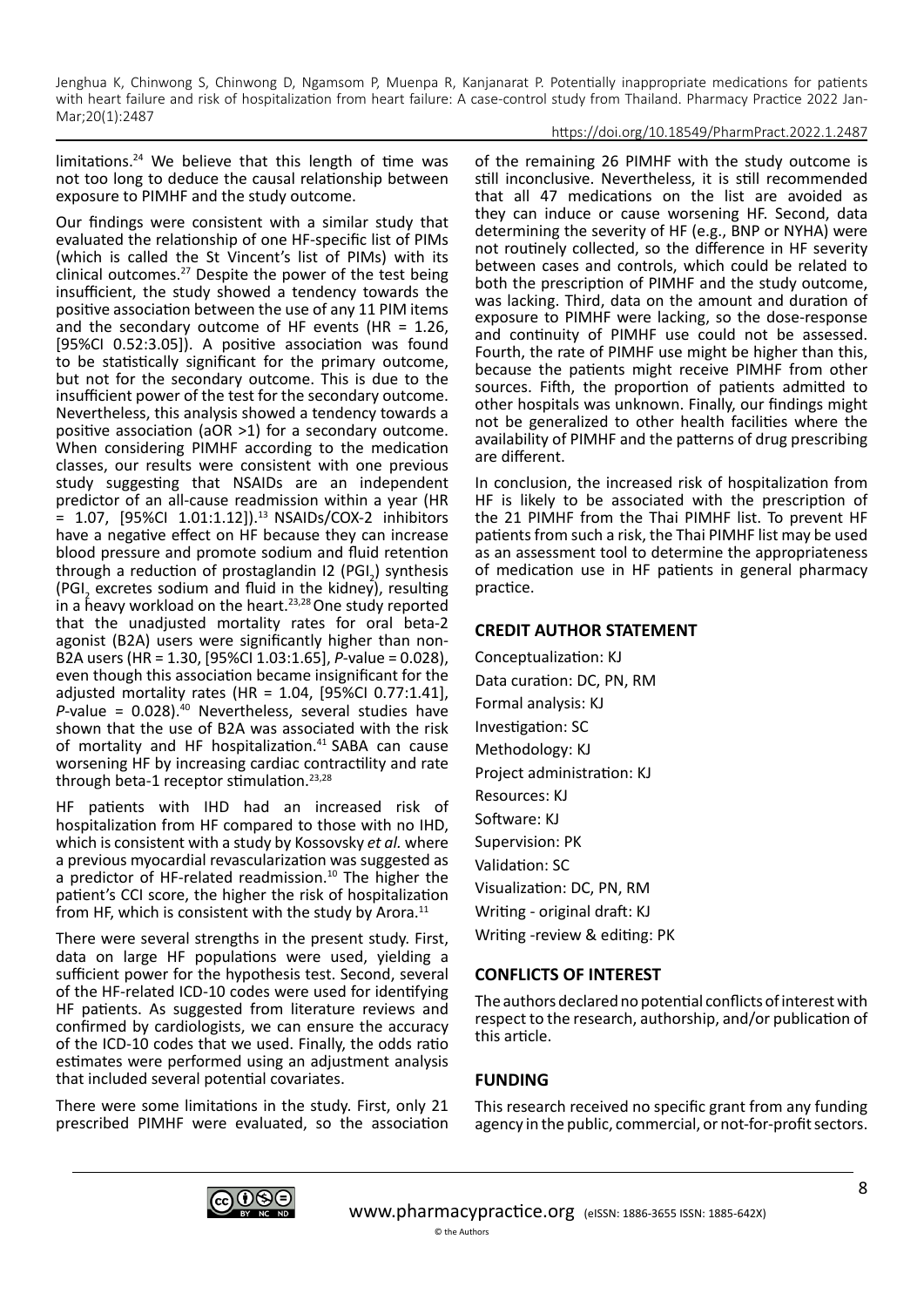#### https://doi.org/10.18549/PharmPract.2022.1.2487

limitations.24 We believe that this length of time was not too long to deduce the causal relationship between exposure to PIMHF and the study outcome.

Our findings were consistent with a similar study that evaluated the relationship of one HF-specific list of PIMs (which is called the St Vincent's list of PIMs) with its clinical outcomes.<sup>27</sup> Despite the power of the test being insufficient, the study showed a tendency towards the positive association between the use of any 11 PIM items and the secondary outcome of HF events (HR =  $1.26$ , [95%CI 0.52:3.05]). A positive association was found to be statistically significant for the primary outcome, but not for the secondary outcome. This is due to the insufficient power of the test for the secondary outcome. Nevertheless, this analysis showed a tendency towards a positive association (aOR >1) for a secondary outcome. When considering PIMHF according to the medication classes, our results were consistent with one previous study suggesting that NSAIDs are an independent predictor of an all-cause readmission within a year (HR = 1.07, [95%CI 1.01:1.12]).<sup>13</sup> NSAIDs/COX-2 inhibitors have a negative effect on HF because they can increase blood pressure and promote sodium and fluid retention through a reduction of prostaglandin  $12$  (PGI<sub>2</sub>) synthesis (PGI<sub>2</sub> excretes sodium and fluid in the kidney), resulting in a heavy workload on the heart.<sup>23,28</sup> One study reported that the unadjusted mortality rates for oral beta-2 agonist (B2A) users were significantly higher than non-B2A users (HR = 1.30, [95%CI 1.03:1.65], *P*-value = 0.028), even though this association became insignificant for the adjusted mortality rates (HR =  $1.04$ , [95%CI 0.77:1.41], *P*-value = 0.028).40 Nevertheless, several studies have shown that the use of B2A was associated with the risk of mortality and HF hospitalization.<sup>41</sup> SABA can cause worsening HF by increasing cardiac contractility and rate through beta-1 receptor stimulation.<sup>23,28</sup>

HF patients with IHD had an increased risk of hospitalization from HF compared to those with no IHD, which is consistent with a study by Kossovsky *et al.* where a previous myocardial revascularization was suggested as a predictor of HF-related readmission.<sup>10</sup> The higher the patient's CCI score, the higher the risk of hospitalization from HF, which is consistent with the study by Arora.<sup>11</sup>

There were several strengths in the present study. First, data on large HF populations were used, yielding a sufficient power for the hypothesis test. Second, several of the HF-related ICD-10 codes were used for identifying HF patients. As suggested from literature reviews and confirmed by cardiologists, we can ensure the accuracy of the ICD-10 codes that we used. Finally, the odds ratio estimates were performed using an adjustment analysis that included several potential covariates.

There were some limitations in the study. First, only 21 prescribed PIMHF were evaluated, so the association of the remaining 26 PIMHF with the study outcome is still inconclusive. Nevertheless, it is still recommended that all 47 medications on the list are avoided as they can induce or cause worsening HF. Second, data determining the severity of HF (e.g., BNP or NYHA) were not routinely collected, so the difference in HF severity between cases and controls, which could be related to both the prescription of PIMHF and the study outcome, was lacking. Third, data on the amount and duration of exposure to PIMHF were lacking, so the dose-response and continuity of PIMHF use could not be assessed. Fourth, the rate of PIMHF use might be higher than this, because the patients might receive PIMHF from other sources. Fifth, the proportion of patients admitted to other hospitals was unknown. Finally, our findings might not be generalized to other health facilities where the availability of PIMHF and the patterns of drug prescribing are different.

In conclusion, the increased risk of hospitalization from HF is likely to be associated with the prescription of the 21 PIMHF from the Thai PIMHF list. To prevent HF patients from such a risk, the Thai PIMHF list may be used as an assessment tool to determine the appropriateness of medication use in HF patients in general pharmacy practice.

# **CREDIT AUTHOR STATEMENT**

Conceptualization: KJ Data curation: DC, PN, RM Formal analysis: KJ Investigation: SC Methodology: KJ Project administration: KJ Resources: KJ Software: KJ Supervision: PK Validation: SC Visualization: DC, PN, RM Writing - original draft: KJ Writing -review & editing: PK

# **CONFLICTS OF INTEREST**

The authors declared no potential conflicts of interest with respect to the research, authorship, and/or publication of this article.

# **FUNDING**

This research received no specific grant from any funding agency in the public, commercial, or not-for-profit sectors.

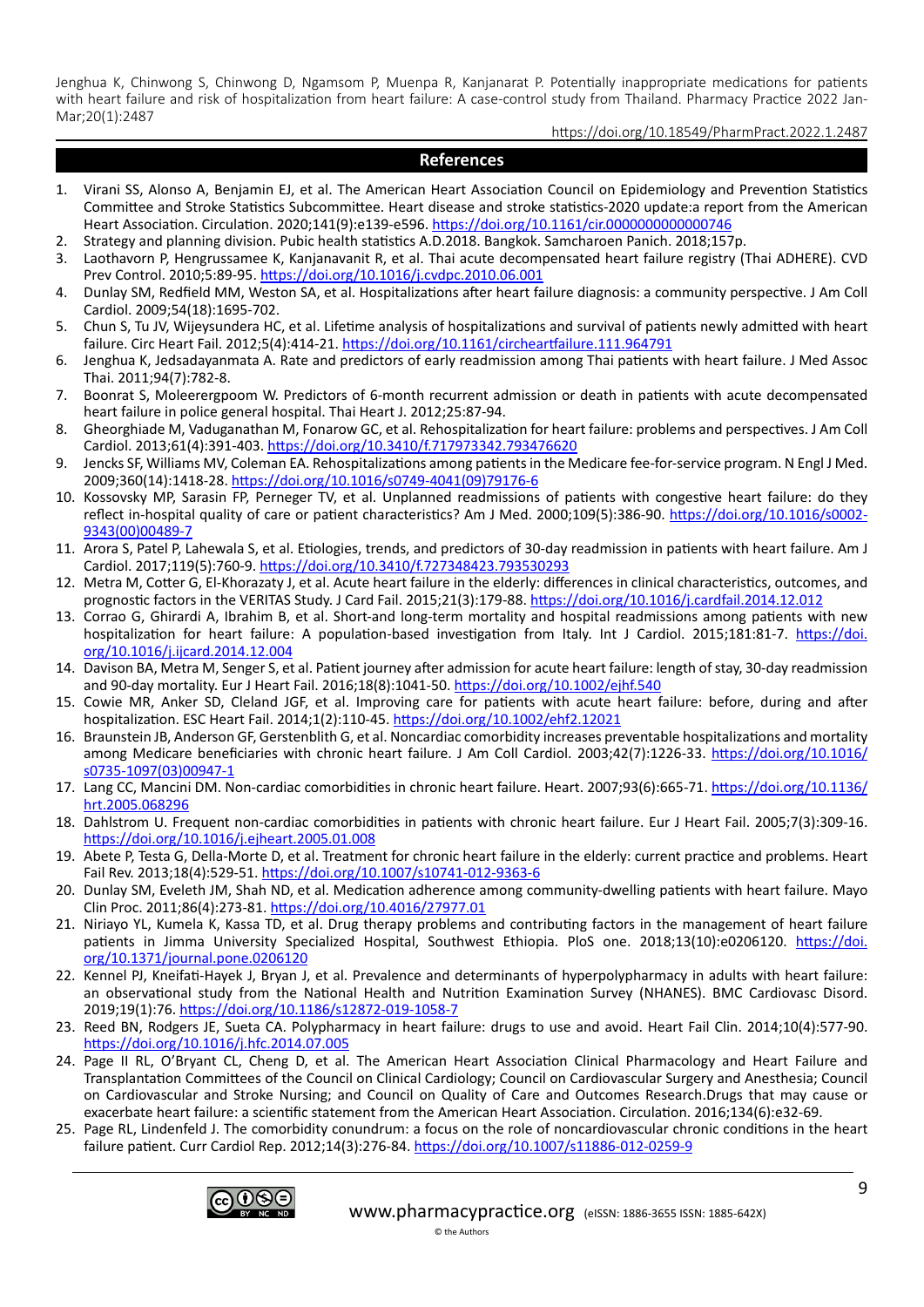https://doi.org/10.18549/PharmPract.2022.1.2487

#### **References**

- 1. Virani SS, Alonso A, Benjamin EJ, et al. The American Heart Association Council on Epidemiology and Prevention Statistics Committee and Stroke Statistics Subcommittee. Heart disease and stroke statistics-2020 update:a report from the American Heart Association. Circulation. 2020;141(9):e139-e596. <https://doi.org/10.1161/cir.0000000000000746>
- 2. Strategy and planning division. Pubic health statistics A.D.2018. Bangkok. Samcharoen Panich. 2018;157p.
- 3. Laothavorn P, Hengrussamee K, Kanjanavanit R, et al. Thai acute decompensated heart failure registry (Thai ADHERE). CVD Prev Control. 2010;5:89-95. <https://doi.org/10.1016/j.cvdpc.2010.06.001>
- 4. Dunlay SM, Redfield MM, Weston SA, et al. Hospitalizations after heart failure diagnosis: a community perspective. J Am Coll Cardiol. 2009;54(18):1695-702.
- 5. Chun S, Tu JV, Wijeysundera HC, et al. Lifetime analysis of hospitalizations and survival of patients newly admitted with heart failure. Circ Heart Fail. 2012;5(4):414-21. <https://doi.org/10.1161/circheartfailure.111.964791>
- 6. Jenghua K, Jedsadayanmata A. Rate and predictors of early readmission among Thai patients with heart failure. J Med Assoc Thai. 2011;94(7):782-8.
- 7. Boonrat S, Moleerergpoom W. Predictors of 6-month recurrent admission or death in patients with acute decompensated heart failure in police general hospital. Thai Heart J. 2012;25:87-94.
- 8. Gheorghiade M, Vaduganathan M, Fonarow GC, et al. Rehospitalization for heart failure: problems and perspectives. J Am Coll Cardiol. 2013;61(4):391-403. <https://doi.org/10.3410/f.717973342.793476620>
- 9. Jencks SF, Williams MV, Coleman EA. Rehospitalizations among patients in the Medicare fee-for-service program. N Engl J Med. 2009;360(14):1418-28. [https://doi.org/10.1016/s0749-4041\(09\)79176-6](https://doi.org/10.1016/s0749-4041(09)79176-6)
- 10. Kossovsky MP, Sarasin FP, Perneger TV, et al. Unplanned readmissions of patients with congestive heart failure: do they reflect in-hospital quality of care or patient characteristics? Am J Med. 2000;109(5):386-90. [https://doi.org/10.1016/s0002-](https://doi.org/10.1016/s0002-9343(00)00489-7) [9343\(00\)00489-7](https://doi.org/10.1016/s0002-9343(00)00489-7)
- 11. Arora S, Patel P, Lahewala S, et al. Etiologies, trends, and predictors of 30-day readmission in patients with heart failure. Am J Cardiol. 2017;119(5):760-9.<https://doi.org/10.3410/f.727348423.793530293>
- 12. Metra M, Cotter G, El-Khorazaty J, et al. Acute heart failure in the elderly: differences in clinical characteristics, outcomes, and prognostic factors in the VERITAS Study. J Card Fail. 2015;21(3):179-88. <https://doi.org/10.1016/j.cardfail.2014.12.012>
- 13. Corrao G, Ghirardi A, Ibrahim B, et al. Short-and long-term mortality and hospital readmissions among patients with new hospitalization for heart failure: A population-based investigation from Italy. Int J Cardiol. 2015;181:81-7. [https://doi.](https://doi.org/10.1016/j.ijcard.2014.12.004) [org/10.1016/j.ijcard.2014.12.004](https://doi.org/10.1016/j.ijcard.2014.12.004)
- 14. Davison BA, Metra M, Senger S, et al. Patient journey after admission for acute heart failure: length of stay, 30‐day readmission and 90-day mortality. Eur J Heart Fail. 2016;18(8):1041-50. <https://doi.org/10.1002/ejhf.540>
- 15. Cowie MR, Anker SD, Cleland JGF, et al. Improving care for patients with acute heart failure: before, during and after hospitalization. ESC Heart Fail. 2014;1(2):110-45. <https://doi.org/10.1002/ehf2.12021>
- 16. Braunstein JB, Anderson GF, Gerstenblith G, et al. Noncardiac comorbidity increases preventable hospitalizations and mortality among Medicare beneficiaries with chronic heart failure. J Am Coll Cardiol. 2003;42(7):1226-33. [https://doi.org/10.1016/](https://doi.org/10.1016/s0735-1097(03)00947-1) [s0735-1097\(03\)00947-1](https://doi.org/10.1016/s0735-1097(03)00947-1)
- 17. Lang CC, Mancini DM. Non-cardiac comorbidities in chronic heart failure. Heart. 2007;93(6):665-71. [https://doi.org/10.1136/](https://doi.org/10.1136/hrt.2005.068296) [hrt.2005.068296](https://doi.org/10.1136/hrt.2005.068296)
- 18. Dahlstrom U. Frequent non-cardiac comorbidities in patients with chronic heart failure. Eur J Heart Fail. 2005;7(3):309-16. <https://doi.org/10.1016/j.ejheart.2005.01.008>
- 19. Abete P, Testa G, Della-Morte D, et al. Treatment for chronic heart failure in the elderly: current practice and problems. Heart Fail Rev. 2013;18(4):529-51. <https://doi.org/10.1007/s10741-012-9363-6>
- 20. Dunlay SM, Eveleth JM, Shah ND, et al. Medication adherence among community-dwelling patients with heart failure. Mayo Clin Proc. 2011;86(4):273-81.<https://doi.org/10.4016/27977.01>
- 21. Niriayo YL, Kumela K, Kassa TD, et al. Drug therapy problems and contributing factors in the management of heart failure patients in Jimma University Specialized Hospital, Southwest Ethiopia. PloS one. 2018;13(10):e0206120. [https://doi.](https://doi.org/10.1371/journal.pone.0206120) [org/10.1371/journal.pone.0206120](https://doi.org/10.1371/journal.pone.0206120)
- 22. Kennel PJ, Kneifati-Hayek J, Bryan J, et al. Prevalence and determinants of hyperpolypharmacy in adults with heart failure: an observational study from the National Health and Nutrition Examination Survey (NHANES). BMC Cardiovasc Disord. 2019;19(1):76. <https://doi.org/10.1186/s12872-019-1058-7>
- 23. Reed BN, Rodgers JE, Sueta CA. Polypharmacy in heart failure: drugs to use and avoid. Heart Fail Clin. 2014;10(4):577-90. <https://doi.org/10.1016/j.hfc.2014.07.005>
- 24. Page II RL, O'Bryant CL, Cheng D, et al. The American Heart Association Clinical Pharmacology and Heart Failure and Transplantation Committees of the Council on Clinical Cardiology; Council on Cardiovascular Surgery and Anesthesia; Council on Cardiovascular and Stroke Nursing; and Council on Quality of Care and Outcomes Research.Drugs that may cause or exacerbate heart failure: a scientific statement from the American Heart Association. Circulation. 2016;134(6):e32-69.
- 25. Page RL, Lindenfeld J. The comorbidity conundrum: a focus on the role of noncardiovascular chronic conditions in the heart failure patient. Curr Cardiol Rep. 2012;14(3):276-84. <https://doi.org/10.1007/s11886-012-0259-9>